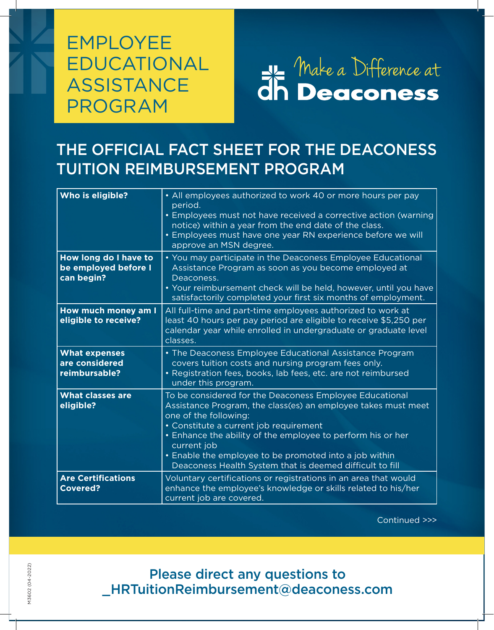EMPLOYEE EDUCATIONAL **ASSISTANCE** PROGRAM



## THE OFFICIAL FACT SHEET FOR THE DEACONESS TUITION REIMBURSEMENT PROGRAM

| Who is eligible?                                            | • All employees authorized to work 40 or more hours per pay<br>period.<br>• Employees must not have received a corrective action (warning<br>notice) within a year from the end date of the class.<br>• Employees must have one year RN experience before we will<br>approve an MSN degree.                                                                                                     |
|-------------------------------------------------------------|-------------------------------------------------------------------------------------------------------------------------------------------------------------------------------------------------------------------------------------------------------------------------------------------------------------------------------------------------------------------------------------------------|
| How long do I have to<br>be employed before I<br>can begin? | • You may participate in the Deaconess Employee Educational<br>Assistance Program as soon as you become employed at<br>Deaconess.<br>• Your reimbursement check will be held, however, until you have<br>satisfactorily completed your first six months of employment.                                                                                                                          |
| How much money am I<br>eligible to receive?                 | All full-time and part-time employees authorized to work at<br>least 40 hours per pay period are eligible to receive \$5,250 per<br>calendar year while enrolled in undergraduate or graduate level<br>classes.                                                                                                                                                                                 |
| <b>What expenses</b><br>are considered<br>reimbursable?     | • The Deaconess Employee Educational Assistance Program<br>covers tuition costs and nursing program fees only.<br>• Registration fees, books, lab fees, etc. are not reimbursed<br>under this program.                                                                                                                                                                                          |
| <b>What classes are</b><br>eligible?                        | To be considered for the Deaconess Employee Educational<br>Assistance Program, the class(es) an employee takes must meet<br>one of the following:<br>· Constitute a current job requirement<br>• Enhance the ability of the employee to perform his or her<br>current job<br>• Enable the employee to be promoted into a job within<br>Deaconess Health System that is deemed difficult to fill |
| <b>Are Certifications</b><br><b>Covered?</b>                | Voluntary certifications or registrations in an area that would<br>enhance the employee's knowledge or skills related to his/her<br>current job are covered.                                                                                                                                                                                                                                    |

Continued >>>

Please direct any questions to \_HRTuitionReimbursement@deaconess.com